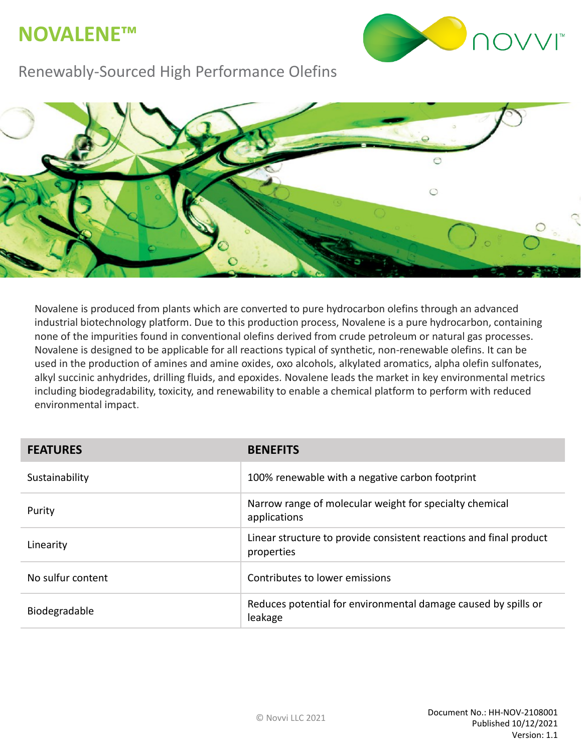## **NOVALENE™**



### Renewably-Sourced High Performance Olefins



Novalene is produced from plants which are converted to pure hydrocarbon olefins through an advanced industrial biotechnology platform. Due to this production process, Novalene is a pure hydrocarbon, containing none of the impurities found in conventional olefins derived from crude petroleum or natural gas processes. Novalene is designed to be applicable for all reactions typical of synthetic, non-renewable olefins. It can be used in the production of amines and amine oxides, oxo alcohols, alkylated aromatics, alpha olefin sulfonates, alkyl succinic anhydrides, drilling fluids, and epoxides. Novalene leads the market in key environmental metrics including biodegradability, toxicity, and renewability to enable a chemical platform to perform with reduced environmental impact.

| <b>FEATURES</b>   | <b>BENEFITS</b>                                                                  |
|-------------------|----------------------------------------------------------------------------------|
| Sustainability    | 100% renewable with a negative carbon footprint                                  |
| Purity            | Narrow range of molecular weight for specialty chemical<br>applications          |
| Linearity         | Linear structure to provide consistent reactions and final product<br>properties |
| No sulfur content | Contributes to lower emissions                                                   |
| Biodegradable     | Reduces potential for environmental damage caused by spills or<br>leakage        |